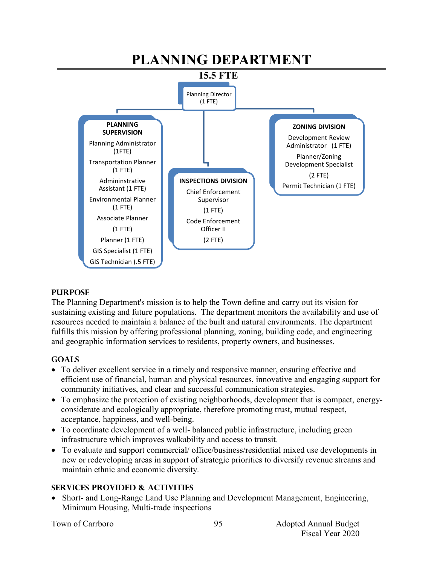

#### **PURPOSE**

The Planning Department's mission is to help the Town define and carry out its vision for sustaining existing and future populations. The department monitors the availability and use of resources needed to maintain a balance of the built and natural environments. The department fulfills this mission by offering professional planning, zoning, building code, and engineering and geographic information services to residents, property owners, and businesses.

#### **GOALS**

- To deliver excellent service in a timely and responsive manner, ensuring effective and efficient use of financial, human and physical resources, innovative and engaging support for community initiatives, and clear and successful communication strategies.
- To emphasize the protection of existing neighborhoods, development that is compact, energyconsiderate and ecologically appropriate, therefore promoting trust, mutual respect, acceptance, happiness, and well-being.
- To coordinate development of a well- balanced public infrastructure, including green infrastructure which improves walkability and access to transit.
- To evaluate and support commercial/ office/business/residential mixed use developments in new or redeveloping areas in support of strategic priorities to diversify revenue streams and maintain ethnic and economic diversity.

# **SERVICES PROVIDED & ACTIVITIES**

 Short- and Long-Range Land Use Planning and Development Management, Engineering, Minimum Housing, Multi-trade inspections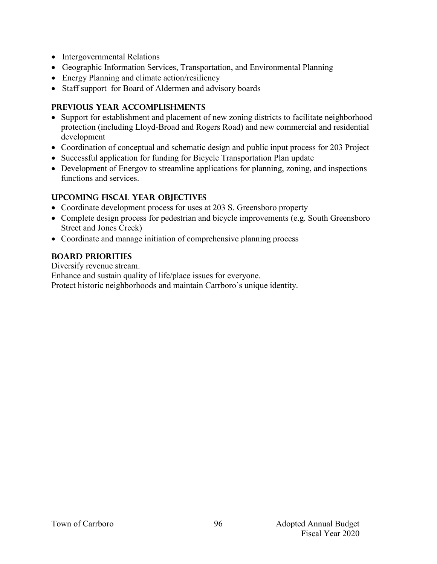- Intergovernmental Relations
- Geographic Information Services, Transportation, and Environmental Planning
- Energy Planning and climate action/resiliency
- Staff support for Board of Aldermen and advisory boards

## **PREVIOUS YEAR ACCOMPLISHMENTS**

- Support for establishment and placement of new zoning districts to facilitate neighborhood protection (including Lloyd-Broad and Rogers Road) and new commercial and residential development
- Coordination of conceptual and schematic design and public input process for 203 Project
- Successful application for funding for Bicycle Transportation Plan update
- Development of Energov to streamline applications for planning, zoning, and inspections functions and services.

### **UPCOMING FISCAL YEAR OBJECTIVES**

- Coordinate development process for uses at 203 S. Greensboro property
- Complete design process for pedestrian and bicycle improvements (e.g. South Greensboro Street and Jones Creek)
- Coordinate and manage initiation of comprehensive planning process

# **BOARD PRIORITIES**

Diversify revenue stream.

Enhance and sustain quality of life/place issues for everyone.

Protect historic neighborhoods and maintain Carrboro's unique identity.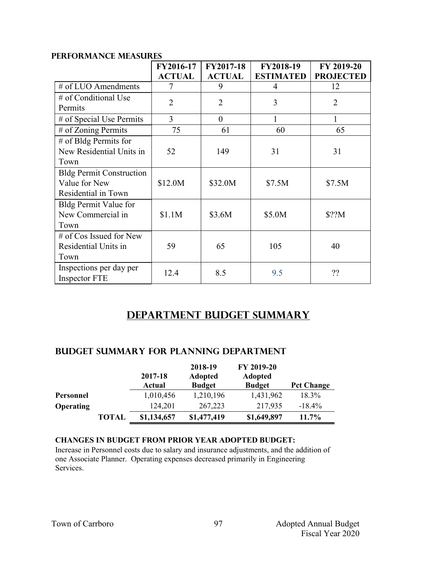|                                                                         | FY2016-17<br><b>ACTUAL</b> | <b>FY2017-18</b><br><b>ACTUAL</b> | FY2018-19<br><b>ESTIMATED</b> | FY 2019-20<br><b>PROJECTED</b> |
|-------------------------------------------------------------------------|----------------------------|-----------------------------------|-------------------------------|--------------------------------|
| # of LUO Amendments                                                     |                            | 9                                 | 4                             | 12                             |
| # of Conditional Use<br>Permits                                         | $\overline{2}$             | $\overline{2}$                    | 3                             | $\overline{2}$                 |
| # of Special Use Permits                                                | $\overline{3}$             | $\theta$                          | 1                             | 1                              |
| # of Zoning Permits                                                     | 75                         | 61                                | 60                            | 65                             |
| $#$ of Bldg Permits for<br>New Residential Units in<br>Town             | 52                         | 149                               | 31                            | 31                             |
| <b>Bldg Permit Construction</b><br>Value for New<br>Residential in Town | \$12.0M                    | \$32.0M                           | \$7.5M                        | \$7.5M                         |
| Bldg Permit Value for<br>New Commercial in<br>Town                      | \$1.1M                     | \$3.6M                            | \$5.0M                        | \$??M                          |
| $#$ of Cos Issued for New<br>Residential Units in<br>Town               | 59                         | 65                                | 105                           | 40                             |
| Inspections per day per<br>Inspector FTE                                | 12.4                       | 8.5                               | 9.5                           | ??                             |

### **PERFORMANCE MEASURES**

# **Department Budget Summary**

#### **Budget summary for pLANNING department**

|                  |              | 2017-18<br>Actual | 2018-19<br><b>Adopted</b><br><b>Budget</b> | FY 2019-20<br>Adopted<br><b>Budget</b> | <b>Pct Change</b> |
|------------------|--------------|-------------------|--------------------------------------------|----------------------------------------|-------------------|
| Personnel        |              | 1,010,456         | 1,210,196                                  | 1,431,962                              | 18.3%             |
| <b>Operating</b> |              | 124,201           | 267,223                                    | 217,935                                | $-18.4%$          |
|                  | <b>TOTAL</b> | \$1,134,657       | \$1,477,419                                | \$1,649,897                            | 11.7%             |

#### **CHANGES IN BUDGET FROM PRIOR YEAR ADOPTED BUDGET:**

Increase in Personnel costs due to salary and insurance adjustments, and the addition of one Associate Planner. Operating expenses decreased primarily in Engineering Services.